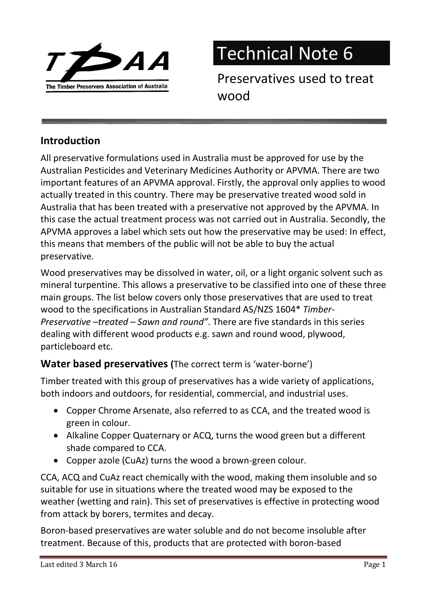

Technical Note 6

Preservatives used to treat wood

## Introduction

All preservative formulations used in Australia must be approved for use by the Australian Pesticides and Veterinary Medicines Authority or APVMA. There are two important features of an APVMA approval. Firstly, the approval only applies to wood actually treated in this country. There may be preservative treated wood sold in Australia that has been treated with a preservative not approved by the APVMA. In this case the actual treatment process was not carried out in Australia. Secondly, the APVMA approves a label which sets out how the preservative may be used: In effect, this means that members of the public will not be able to buy the actual preservative.

Wood preservatives may be dissolved in water, oil, or a light organic solvent such as mineral turpentine. This allows a preservative to be classified into one of these three main groups. The list below covers only those preservatives that are used to treat wood to the specifications in Australian Standard AS/NZS 1604\* Timber-Preservative –treated – Sawn and round". There are five standards in this series dealing with different wood products e.g. sawn and round wood, plywood, particleboard etc.

#### Water based preservatives (The correct term is 'water-borne')

Timber treated with this group of preservatives has a wide variety of applications, both indoors and outdoors, for residential, commercial, and industrial uses.

- Copper Chrome Arsenate, also referred to as CCA, and the treated wood is green in colour.
- Alkaline Copper Quaternary or ACQ, turns the wood green but a different shade compared to CCA.
- Copper azole (CuAz) turns the wood a brown-green colour.

CCA, ACQ and CuAz react chemically with the wood, making them insoluble and so suitable for use in situations where the treated wood may be exposed to the weather (wetting and rain). This set of preservatives is effective in protecting wood from attack by borers, termites and decay.

Boron-based preservatives are water soluble and do not become insoluble after treatment. Because of this, products that are protected with boron-based